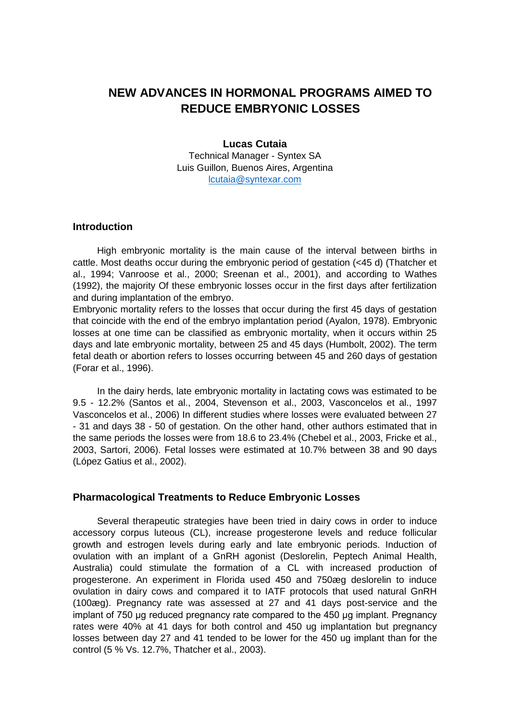# **NEW ADVANCES IN HORMONAL PROGRAMS AIMED TO REDUCE EMBRYONIC LOSSES**

#### **Lucas Cutaia**

Technical Manager - Syntex SA Luis Guillon, Buenos Aires, Argentina [lcutaia@syntexar.com](mailto:lcutaia@syntexar.com)

#### **Introduction**

High embryonic mortality is the main cause of the interval between births in cattle. Most deaths occur during the embryonic period of gestation (<45 d) (Thatcher et al., 1994; Vanroose et al., 2000; Sreenan et al., 2001), and according to Wathes (1992), the majority Of these embryonic losses occur in the first days after fertilization and during implantation of the embryo.

Embryonic mortality refers to the losses that occur during the first 45 days of gestation that coincide with the end of the embryo implantation period (Ayalon, 1978). Embryonic losses at one time can be classified as embryonic mortality, when it occurs within 25 days and late embryonic mortality, between 25 and 45 days (Humbolt, 2002). The term fetal death or abortion refers to losses occurring between 45 and 260 days of gestation (Forar et al., 1996).

In the dairy herds, late embryonic mortality in lactating cows was estimated to be 9.5 - 12.2% (Santos et al., 2004, Stevenson et al., 2003, Vasconcelos et al., 1997 Vasconcelos et al., 2006) In different studies where losses were evaluated between 27 - 31 and days 38 - 50 of gestation. On the other hand, other authors estimated that in the same periods the losses were from 18.6 to 23.4% (Chebel et al., 2003, Fricke et al., 2003, Sartori, 2006). Fetal losses were estimated at 10.7% between 38 and 90 days (López Gatius et al., 2002).

#### **Pharmacological Treatments to Reduce Embryonic Losses**

Several therapeutic strategies have been tried in dairy cows in order to induce accessory corpus luteous (CL), increase progesterone levels and reduce follicular growth and estrogen levels during early and late embryonic periods. Induction of ovulation with an implant of a GnRH agonist (Deslorelin, Peptech Animal Health, Australia) could stimulate the formation of a CL with increased production of progesterone. An experiment in Florida used 450 and 750æg deslorelin to induce ovulation in dairy cows and compared it to IATF protocols that used natural GnRH (100æg). Pregnancy rate was assessed at 27 and 41 days post-service and the implant of 750 μg reduced pregnancy rate compared to the 450 μg implant. Pregnancy rates were 40% at 41 days for both control and 450 ug implantation but pregnancy losses between day 27 and 41 tended to be lower for the 450 ug implant than for the control (5 % Vs. 12.7%, Thatcher et al., 2003).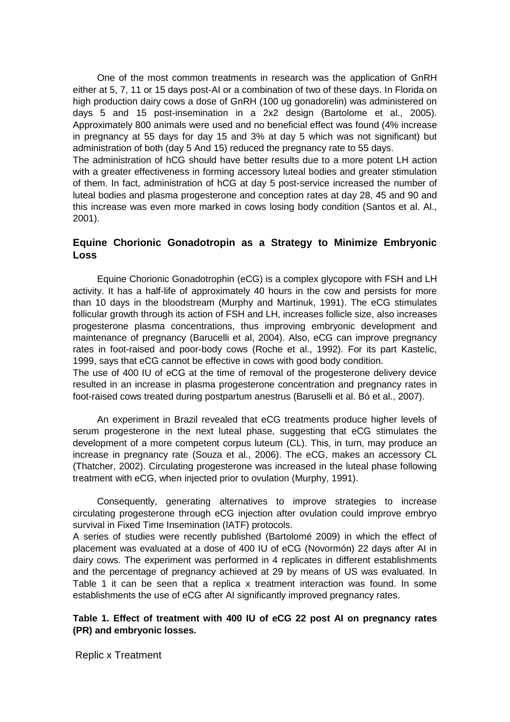One of the most common treatments in research was the application of GnRH either at 5, 7, 11 or 15 days post-AI or a combination of two of these days. In Florida on high production dairy cows a dose of GnRH (100 ug gonadorelin) was administered on days 5 and 15 post-insemination in a 2x2 design (Bartolome et al., 2005). Approximately 800 animals were used and no beneficial effect was found (4% increase in pregnancy at 55 days for day 15 and 3% at day 5 which was not significant) but administration of both (day 5 And 15) reduced the pregnancy rate to 55 days.

The administration of hCG should have better results due to a more potent LH action with a greater effectiveness in forming accessory luteal bodies and greater stimulation of them. In fact, administration of hCG at day 5 post-service increased the number of luteal bodies and plasma progesterone and conception rates at day 28, 45 and 90 and this increase was even more marked in cows losing body condition (Santos et al. Al., 2001).

## **Equine Chorionic Gonadotropin as a Strategy to Minimize Embryonic Loss**

Equine Chorionic Gonadotrophin (eCG) is a complex glycopore with FSH and LH activity. It has a half-life of approximately 40 hours in the cow and persists for more than 10 days in the bloodstream (Murphy and Martinuk, 1991). The eCG stimulates follicular growth through its action of FSH and LH, increases follicle size, also increases progesterone plasma concentrations, thus improving embryonic development and maintenance of pregnancy (Barucelli et al, 2004). Also, eCG can improve pregnancy rates in foot-raised and poor-body cows (Roche et al., 1992). For its part Kastelic, 1999, says that eCG cannot be effective in cows with good body condition.

The use of 400 IU of eCG at the time of removal of the progesterone delivery device resulted in an increase in plasma progesterone concentration and pregnancy rates in foot-raised cows treated during postpartum anestrus (Baruselli et al. Bó et al., 2007).

An experiment in Brazil revealed that eCG treatments produce higher levels of serum progesterone in the next luteal phase, suggesting that eCG stimulates the development of a more competent corpus luteum (CL). This, in turn, may produce an increase in pregnancy rate (Souza et al., 2006). The eCG, makes an accessory CL (Thatcher, 2002). Circulating progesterone was increased in the luteal phase following treatment with eCG, when injected prior to ovulation (Murphy, 1991).

Consequently, generating alternatives to improve strategies to increase circulating progesterone through eCG injection after ovulation could improve embryo survival in Fixed Time Insemination (IATF) protocols.

A series of studies were recently published (Bartolomé 2009) in which the effect of placement was evaluated at a dose of 400 IU of eCG (Novormón) 22 days after AI in dairy cows. The experiment was performed in 4 replicates in different establishments and the percentage of pregnancy achieved at 29 by means of US was evaluated. In Table 1 it can be seen that a replica x treatment interaction was found. In some establishments the use of eCG after AI significantly improved pregnancy rates.

## **Table 1. Effect of treatment with 400 IU of eCG 22 post AI on pregnancy rates (PR) and embryonic losses.**

Replic x Treatment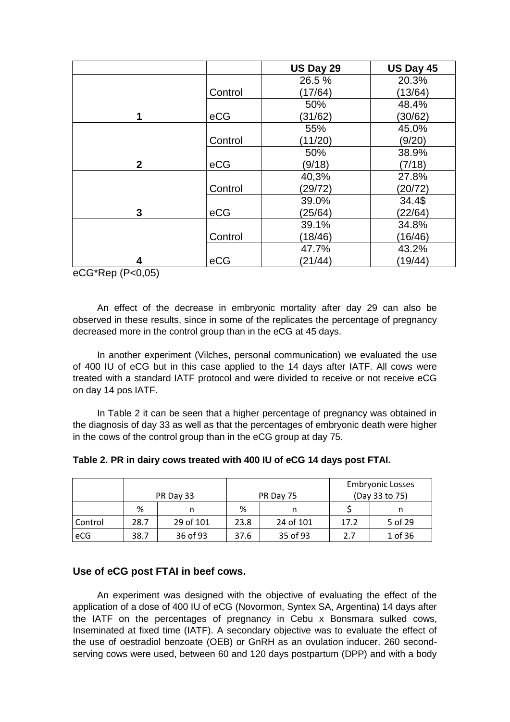|              |         | US Day 29 | US Day 45 |
|--------------|---------|-----------|-----------|
|              |         | 26.5 %    | 20.3%     |
|              | Control | (17/64)   | (13/64)   |
|              |         | 50%       | 48.4%     |
| 1            | eCG     | (31/62)   | (30/62)   |
|              |         | 55%       | 45.0%     |
|              | Control | (11/20)   | (9/20)    |
|              |         | 50%       | 38.9%     |
| $\mathbf{2}$ | eCG     | (9/18)    | (7/18)    |
|              |         | 40,3%     | 27.8%     |
|              | Control | (29/72)   | (20/72)   |
|              |         | 39.0%     | 34.4\$    |
| 3            | eCG     | (25/64)   | (22/64)   |
|              |         | 39.1%     | 34.8%     |
|              | Control | (18/46)   | (16/46)   |
|              |         | 47.7%     | 43.2%     |
| 4            | eCG     | (21/44)   | (19/44)   |

eCG\*Rep (P<0,05)

An effect of the decrease in embryonic mortality after day 29 can also be observed in these results, since in some of the replicates the percentage of pregnancy decreased more in the control group than in the eCG at 45 days.

In another experiment (Vilches, personal communication) we evaluated the use of 400 IU of eCG but in this case applied to the 14 days after IATF. All cows were treated with a standard IATF protocol and were divided to receive or not receive eCG on day 14 pos IATF.

In Table 2 it can be seen that a higher percentage of pregnancy was obtained in the diagnosis of day 33 as well as that the percentages of embryonic death were higher in the cows of the control group than in the eCG group at day 75.

| Table 2. PR in dairy cows treated with 400 IU of eCG 14 days post FTAI. |  |  |  |  |
|-------------------------------------------------------------------------|--|--|--|--|
|-------------------------------------------------------------------------|--|--|--|--|

|         |      | PR Day 33 | PR Day 75 |           | <b>Embryonic Losses</b><br>(Day 33 to 75) |         |
|---------|------|-----------|-----------|-----------|-------------------------------------------|---------|
|         | %    |           | %         | n         |                                           | n       |
| Control | 28.7 | 29 of 101 | 23.8      | 24 of 101 | 17.2                                      | 5 of 29 |
| eCG     | 38.7 | 36 of 93  | 37.6      | 35 of 93  | 2.7                                       | 1 of 36 |

# **Use of eCG post FTAI in beef cows.**

An experiment was designed with the objective of evaluating the effect of the application of a dose of 400 IU of eCG (Novormon, Syntex SA, Argentina) 14 days after the IATF on the percentages of pregnancy in Cebu x Bonsmara sulked cows, Inseminated at fixed time (IATF). A secondary objective was to evaluate the effect of the use of oestradiol benzoate (OEB) or GnRH as an ovulation inducer. 260 secondserving cows were used, between 60 and 120 days postpartum (DPP) and with a body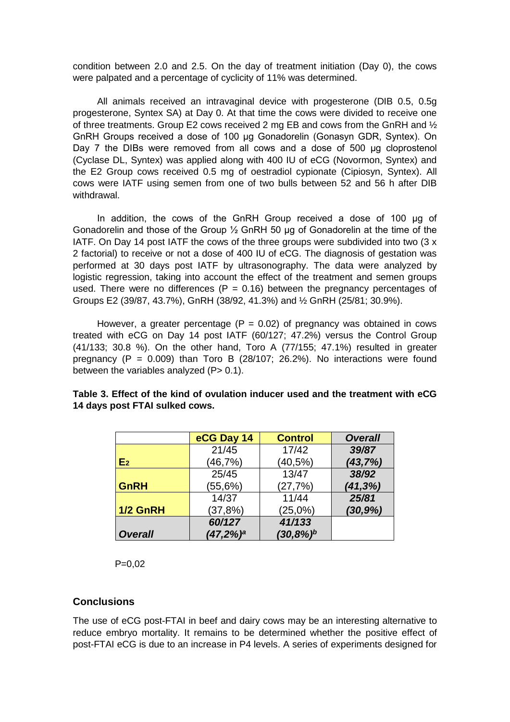condition between 2.0 and 2.5. On the day of treatment initiation (Day 0), the cows were palpated and a percentage of cyclicity of 11% was determined.

All animals received an intravaginal device with progesterone (DIB 0.5, 0.5g progesterone, Syntex SA) at Day 0. At that time the cows were divided to receive one of three treatments. Group E2 cows received 2 mg EB and cows from the GnRH and  $\frac{1}{2}$ GnRH Groups received a dose of 100 μg Gonadorelin (Gonasyn GDR, Syntex). On Day 7 the DIBs were removed from all cows and a dose of 500 μg cloprostenol (Cyclase DL, Syntex) was applied along with 400 IU of eCG (Novormon, Syntex) and the E2 Group cows received 0.5 mg of oestradiol cypionate (Cipiosyn, Syntex). All cows were IATF using semen from one of two bulls between 52 and 56 h after DIB withdrawal.

In addition, the cows of the GnRH Group received a dose of 100 μg of Gonadorelin and those of the Group ½ GnRH 50 μg of Gonadorelin at the time of the IATF. On Day 14 post IATF the cows of the three groups were subdivided into two (3 x 2 factorial) to receive or not a dose of 400 IU of eCG. The diagnosis of gestation was performed at 30 days post IATF by ultrasonography. The data were analyzed by logistic regression, taking into account the effect of the treatment and semen groups used. There were no differences ( $P = 0.16$ ) between the pregnancy percentages of Groups E2 (39/87, 43.7%), GnRH (38/92, 41.3%) and ½ GnRH (25/81; 30.9%).

However, a greater percentage ( $P = 0.02$ ) of pregnancy was obtained in cows treated with eCG on Day 14 post IATF (60/127; 47.2%) versus the Control Group (41/133; 30.8 %). On the other hand, Toro A (77/155; 47.1%) resulted in greater pregnancy (P =  $0.009$ ) than Toro B (28/107; 26.2%). No interactions were found between the variables analyzed (P > 0.1).

|                | eCG Day 14  | <b>Control</b>     | <b>Overall</b> |
|----------------|-------------|--------------------|----------------|
|                | 21/45       | 17/42              | 39/87          |
| E <sub>2</sub> | $(46, 7\%)$ | $(40,5\%)$         | (43,7%)        |
|                | 25/45       | 13/47              | 38/92          |
| <b>GnRH</b>    | (55,6%)     | (27, 7%)           | (41, 3%)       |
|                | 14/37       | 11/44              | 25/81          |
| 1/2 GnRH       | (37,8%)     | (25,0%)            | $(30, 9\%)$    |
|                | 60/127      | 41/133             |                |
| <b>Overall</b> | $(47,2%)^a$ | (30,8%) $^{\rm b}$ |                |

## **Table 3. Effect of the kind of ovulation inducer used and the treatment with eCG 14 days post FTAI sulked cows.**

P=0,02

## **Conclusions**

The use of eCG post-FTAI in beef and dairy cows may be an interesting alternative to reduce embryo mortality. It remains to be determined whether the positive effect of post-FTAI eCG is due to an increase in P4 levels. A series of experiments designed for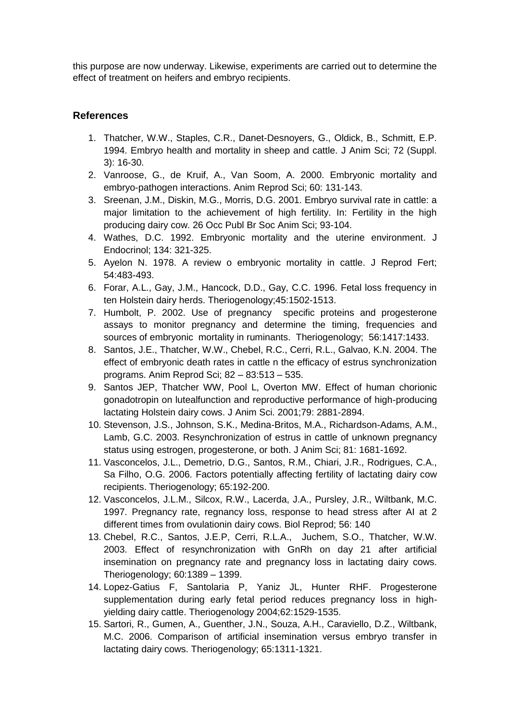this purpose are now underway. Likewise, experiments are carried out to determine the effect of treatment on heifers and embryo recipients.

# **References**

- 1. Thatcher, W.W., Staples, C.R., Danet-Desnoyers, G., Oldick, B., Schmitt, E.P. 1994. Embryo health and mortality in sheep and cattle. J Anim Sci; 72 (Suppl. 3): 16-30.
- 2. Vanroose, G., de Kruif, A., Van Soom, A. 2000. Embryonic mortality and embryo-pathogen interactions. Anim Reprod Sci; 60: 131-143.
- 3. Sreenan, J.M., Diskin, M.G., Morris, D.G. 2001. Embryo survival rate in cattle: a major limitation to the achievement of high fertility. In: Fertility in the high producing dairy cow. 26 Occ Publ Br Soc Anim Sci; 93-104.
- 4. Wathes, D.C. 1992. Embryonic mortality and the uterine environment. J Endocrinol; 134: 321-325.
- 5. Ayelon N. 1978. A review o embryonic mortality in cattle. J Reprod Fert; 54:483-493.
- 6. Forar, A.L., Gay, J.M., Hancock, D.D., Gay, C.C. 1996. Fetal loss frequency in ten Holstein dairy herds. Theriogenology;45:1502-1513.
- 7. Humbolt, P. 2002. Use of pregnancy specific proteins and progesterone assays to monitor pregnancy and determine the timing, frequencies and sources of embryonic mortality in ruminants. Theriogenology; 56:1417:1433.
- 8. Santos, J.E., Thatcher, W.W., Chebel, R.C., Cerri, R.L., Galvao, K.N. 2004. The effect of embryonic death rates in cattle n the efficacy of estrus synchronization programs. Anim Reprod Sci; 82 – 83:513 – 535.
- 9. Santos JEP, Thatcher WW, Pool L, Overton MW. Effect of human chorionic gonadotropin on lutealfunction and reproductive performance of high-producing lactating Holstein dairy cows. J Anim Sci. 2001;79: 2881-2894.
- 10. Stevenson, J.S., Johnson, S.K., Medina-Britos, M.A., Richardson-Adams, A.M., Lamb, G.C. 2003. Resynchronization of estrus in cattle of unknown pregnancy status using estrogen, progesterone, or both. J Anim Sci; 81: 1681-1692.
- 11. Vasconcelos, J.L., Demetrio, D.G., Santos, R.M., Chiari, J.R., Rodrigues, C.A., Sa Filho, O.G. 2006. Factors potentially affecting fertility of lactating dairy cow recipients. Theriogenology; 65:192-200.
- 12. Vasconcelos, J.L.M., Silcox, R.W., Lacerda, J.A., Pursley, J.R., Wiltbank, M.C. 1997. Pregnancy rate, regnancy loss, response to head stress after AI at 2 different times from ovulationin dairy cows. Biol Reprod; 56: 140
- 13. Chebel, R.C., Santos, J.E.P, Cerri, R.L.A., Juchem, S.O., Thatcher, W.W. 2003. Effect of resynchronization with GnRh on day 21 after artificial insemination on pregnancy rate and pregnancy loss in lactating dairy cows. Theriogenology; 60:1389 – 1399.
- 14. Lopez-Gatius F, Santolaria P, Yaniz JL, Hunter RHF. Progesterone supplementation during early fetal period reduces pregnancy loss in highyielding dairy cattle. Theriogenology 2004;62:1529-1535.
- 15. Sartori, R., Gumen, A., Guenther, J.N., Souza, A.H., Caraviello, D.Z., Wiltbank, M.C. 2006. Comparison of artificial insemination versus embryo transfer in lactating dairy cows. Theriogenology; 65:1311-1321.